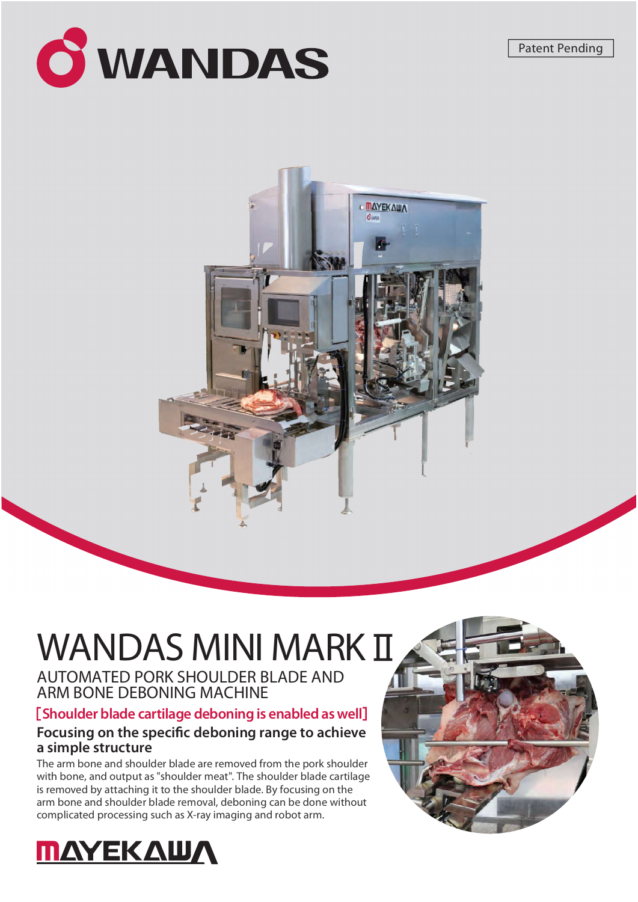



# WANDAS MINI MARK II

AUTOMATED PORK SHOULDER BLADE AND ARM BONE DEBONING MACHINE

[Shoulder blade cartilage deboning is enabled as well]

## Focusing on the specific deboning range to achieve a simple structure

The arm bone and shoulder blade are removed from the pork shoulder with bone, and output as "shoulder meat". The shoulder blade cartilage is removed by attaching it to the shoulder blade. By focusing on the arm bone and shoulder blade removal, deboning can be done without complicated processing such as X-ray imaging and robot arm.